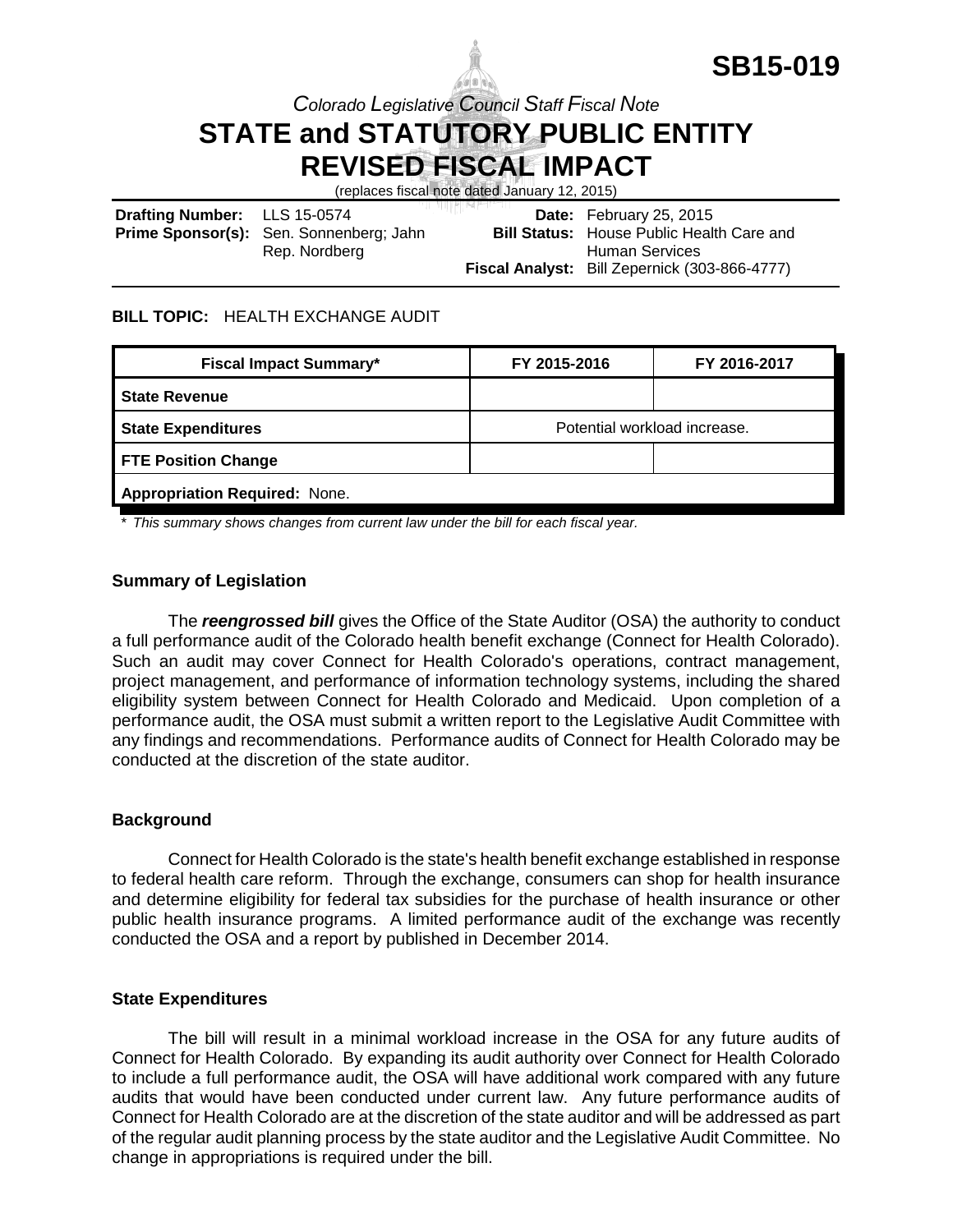

*Colorado Legislative Council Staff Fiscal Note*

# **STATE and STATUTORY PUBLIC ENTITY REVISED FISCAL IMPACT**

(replaces fiscal note dated January 12, 2015)

| Drafting Number: LLS 15-0574 |                                                | والمستقاض الأالمان والمراد | Date: February 25, 2015                              |
|------------------------------|------------------------------------------------|----------------------------|------------------------------------------------------|
|                              | <b>Prime Sponsor(s):</b> Sen. Sonnenberg; Jahn |                            | <b>Bill Status:</b> House Public Health Care and     |
|                              | Rep. Nordberg                                  |                            | Human Services                                       |
|                              |                                                |                            | <b>Fiscal Analyst:</b> Bill Zepernick (303-866-4777) |

#### **BILL TOPIC:** HEALTH EXCHANGE AUDIT

| <b>Fiscal Impact Summary*</b>        | FY 2015-2016                 | FY 2016-2017 |  |  |  |
|--------------------------------------|------------------------------|--------------|--|--|--|
| <b>State Revenue</b>                 |                              |              |  |  |  |
| <b>State Expenditures</b>            | Potential workload increase. |              |  |  |  |
| <b>FTE Position Change</b>           |                              |              |  |  |  |
| <b>Appropriation Required: None.</b> |                              |              |  |  |  |

*\* This summary shows changes from current law under the bill for each fiscal year.* 

### **Summary of Legislation**

The *reengrossed bill* gives the Office of the State Auditor (OSA) the authority to conduct a full performance audit of the Colorado health benefit exchange (Connect for Health Colorado). Such an audit may cover Connect for Health Colorado's operations, contract management, project management, and performance of information technology systems, including the shared eligibility system between Connect for Health Colorado and Medicaid. Upon completion of a performance audit, the OSA must submit a written report to the Legislative Audit Committee with any findings and recommendations. Performance audits of Connect for Health Colorado may be conducted at the discretion of the state auditor.

#### **Background**

Connect for Health Colorado is the state's health benefit exchange established in response to federal health care reform. Through the exchange, consumers can shop for health insurance and determine eligibility for federal tax subsidies for the purchase of health insurance or other public health insurance programs. A limited performance audit of the exchange was recently conducted the OSA and a report by published in December 2014.

#### **State Expenditures**

The bill will result in a minimal workload increase in the OSA for any future audits of Connect for Health Colorado. By expanding its audit authority over Connect for Health Colorado to include a full performance audit, the OSA will have additional work compared with any future audits that would have been conducted under current law. Any future performance audits of Connect for Health Colorado are at the discretion of the state auditor and will be addressed as part of the regular audit planning process by the state auditor and the Legislative Audit Committee. No change in appropriations is required under the bill.